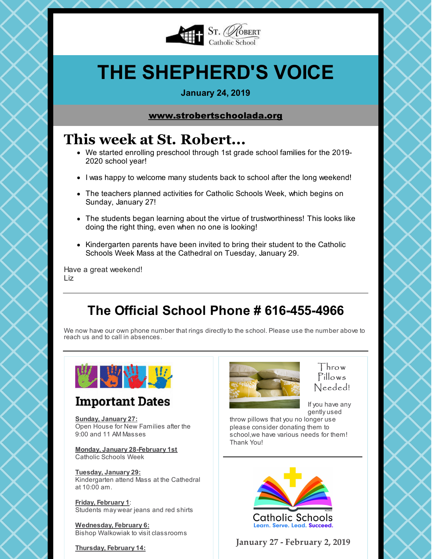

# **THE SHEPHERD'S VOICE**

### **January 24, 2019**

### [www.strobertschoolada.org](http://strobertschoolada.org)

# **This week at St. Robert...**

- We started enrolling preschool through 1st grade school families for the 2019- 2020 school year!
- I was happy to welcome many students back to school after the long weekend!
- The teachers planned activities for Catholic Schools Week, which begins on Sunday, January 27!
- The students began learning about the virtue of trustworthiness! This looks like doing the right thing, even when no one is looking!
- Kindergarten parents have been invited to bring their student to the Catholic Schools Week Mass at the Cathedral on Tuesday, January 29.

Have a great weekend! Liz

# **The Official School Phone # 616-455-4966**

We now have our own phone number that rings directly to the school. Please use the number above to reach us and to call in absences.



## **Important Dates**

**Sunday, January 27:** Open House for New Families after the 9:00 and 11 AM Masses

**Monday, January 28-February 1st** Catholic Schools Week

**Tuesday, January 29:** Kindergarten attend Mass at the Cathedral at 10:00 am.

**Friday, February 1**: Students may wear jeans and red shirts

**Wednesday, February 6:** Bishop Walkowiak to visit classrooms

**Thursday, February 14:**



Throw Pillows Needed!

If you have any gently used

throw pillows that you no longer use please consider donating them to school,we have various needs for them! Thank You!



**January 27 - February 2, 2019**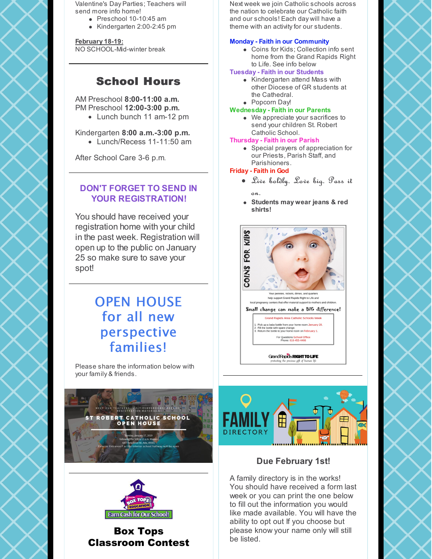Valentine's Day Parties; Teachers will send more info home!

- Preschool 10-10:45 am
- Kindergarten 2:00-2:45 pm

**February 18-19:** NO SCHOOL-Mid-winter break

### School Hours

#### AM Preschool **8:00-11:00 a.m.** PM Preschool **12:00-3:00 p.m.**

• Lunch bunch 11 am-12 pm

### Kindergarten **8:00 a.m.-3:00 p.m.**

• Lunch/Recess 11-11:50 am

After School Care 3-6 p.m.

### **DON'T FORGET TO SEND IN YOUR REGISTRATION!**

You should have received your registration home with your child in the past week. Registration will open up to the public on January 25 so make sure to save your spot!

# OPEN HOUSE for all new perspective families!

Please share the information below with your family & friends.





Box Tops Classroom Contest

Next week we join Catholic schools across the nation to celebrate our Catholic faith and our schools! Each day will have a theme with an activity for our students.

### **Monday - Faith in our Community**

Coins for Kids; Collection info sent home from the Grand Rapids Right to Life. See info below

### **Tuesday - Faith in our Students**

- Kindergarten attend Mass with other Diocese of GR students at the Cathedral.
- Popcorn Day!

#### **Wednesday - Faith in our Parents**

We appreciate your sacrifices to send your children St. Robert Catholic School.

#### **Thursday - Faith in our Parish**

Special prayers of appreciation for our Priests, Parish Staff, and Parishioners.

#### **Friday - Faith in God**

- Live boldly. Love big. Pass it
- on. **Students may wear jeans & red shirts!**





### **Due February 1st!**

A family directory is in the works! You should have received a form last week or you can print the one below to fill out the information you would like made available. You will have the ability to opt out If you choose but please know your name only will still be listed.